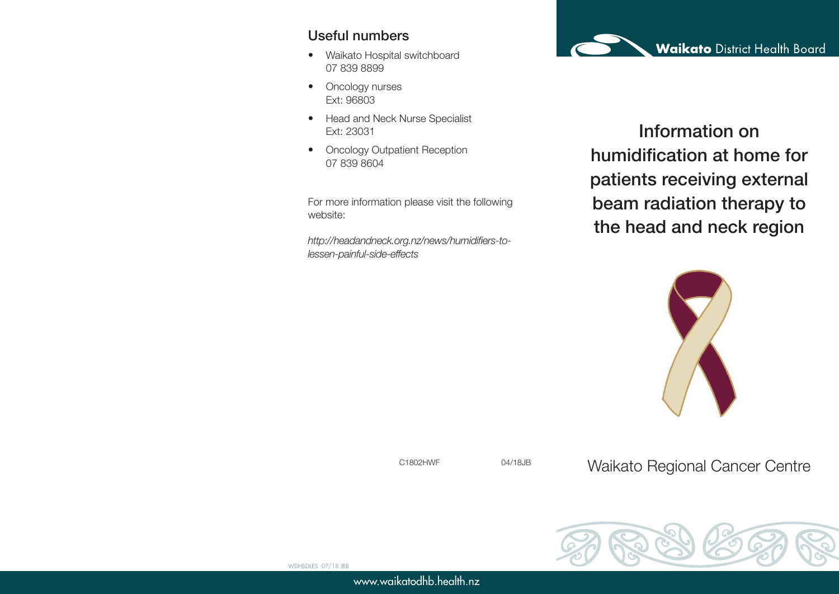#### Useful numbers

- Waikato Hospital switchboard 07 839 8899
- Oncology nurses Ext: 96803
- Head and Neck Nurse Specialist Ext: 23031
- Oncology Outpatient Reception 07 839 8604

For more information please visit the following website:

*http://headandneck.org.nz/news/humidifiers-tolessen-painful-side-effects*



Information on humidification at home for patients receiving external beam radiation therapy to the head and neck region



C1802HWF 04/18JB

Waikato Regional Cancer Centre



www.waikatodhb.health.nz